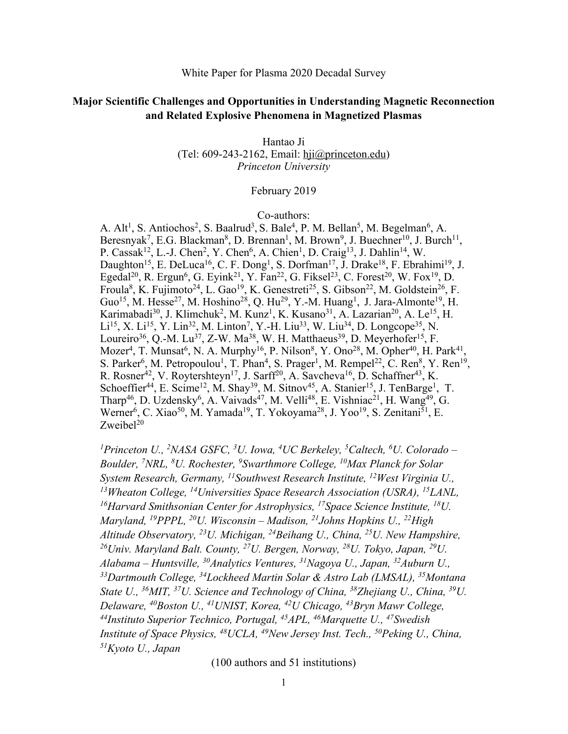### White Paper for Plasma 2020 Decadal Survey

# **Major Scientific Challenges and Opportunities in Understanding Magnetic Reconnection and Related Explosive Phenomena in Magnetized Plasmas**

Hantao Ji (Tel: 609-243-2162, Email: hji@princeton.edu) *Princeton University*

## February 2019

#### Co-authors:

A. Alt<sup>1</sup>, S. Antiochos<sup>2</sup>, S. Baalrud<sup>3</sup>, S. Bale<sup>4</sup>, P. M. Bellan<sup>5</sup>, M. Begelman<sup>6</sup>, A. Beresnyak<sup>7</sup>, E.G. Blackman<sup>8</sup>, D. Brennan<sup>1</sup>, M. Brown<sup>9</sup>, J. Buechner<sup>10</sup>, J. Burch<sup>11</sup>, P. Cassak<sup>12</sup>, L.-J. Chen<sup>2</sup>, Y. Chen<sup>6</sup>, A. Chien<sup>1</sup>, D. Craig<sup>13</sup>, J. Dahlin<sup>14</sup>, W. Daughton<sup>15</sup>, E. DeLuca<sup>16</sup>, C. F. Dong<sup>1</sup>, S. Dorfman<sup>17</sup>, J. Drake<sup>18</sup>, F. Ebrahimi<sup>19</sup>, J. Egedal<sup>20</sup>, R. Ergun<sup>6</sup>, G. Eyink<sup>21</sup>, Y. Fan<sup>22</sup>, G. Fiksel<sup>23</sup>, C. Forest<sup>20</sup>, W. Fox<sup>19</sup>, D. Froula<sup>8</sup>, K. Fujimoto<sup>24</sup>, L. Gao<sup>19</sup>, K. Genestreti<sup>25</sup>, S. Gibson<sup>22</sup>, M. Goldstein<sup>26</sup>, F. Guo<sup>15</sup>, M. Hesse<sup>27</sup>, M. Hoshino<sup>28</sup>, Q. Hu<sup>29</sup>, Y.-M. Huang<sup>1</sup>, J. Jara-Almonte<sup>19</sup>, H. Karimabadi<sup>30</sup>, J. Klimchuk<sup>2</sup>, M. Kunz<sup>1</sup>, K. Kusano<sup>31</sup>, A. Lazarian<sup>20</sup>, A. Le<sup>15</sup>, H. Li<sup>15</sup>, X. Li<sup>15</sup>, Y. Lin<sup>32</sup>, M. Linton<sup>7</sup>, Y.-H. Liu<sup>33</sup>, W. Liu<sup>34</sup>, D. Longcope<sup>35</sup>, N. Loureiro<sup>36</sup>, Q.-M. Lu<sup>37</sup>, Z-W. Ma<sup>38</sup>, W. H. Matthaeus<sup>39</sup>, D. Meyerhofer<sup>15</sup>, F. Mozer<sup>4</sup>, T. Munsat<sup>6</sup>, N. A. Murphy<sup>16</sup>, P. Nilson<sup>8</sup>, Y. Ono<sup>28</sup>, M. Opher<sup>40</sup>, H. Park<sup>41</sup>, S. Parker<sup>6</sup>, M. Petropoulou<sup>1</sup>, T. Phan<sup>4</sup>, S. Prager<sup>1</sup>, M. Rempel<sup>22</sup>, C. Ren<sup>8</sup>, Y. Ren<sup>19</sup>, R. Rosner<sup>42</sup>, V. Roytershteyn<sup>17</sup>, J. Sarff<sup>20</sup>, A. Savcheva<sup>16</sup>, D. Schaffner<sup>43</sup>, K. Schoeffier<sup>44</sup>, E. Scime<sup>12</sup>, M. Shay<sup>39</sup>, M. Sitnov<sup>45</sup>, A. Stanier<sup>15</sup>, J. TenBarge<sup>1</sup>, T. Tharp<sup>46</sup>, D. Uzdensky<sup>6</sup>, A. Vaivads<sup>47</sup>, M. Velli<sup>48</sup>, E. Vishniac<sup>21</sup>, H. Wang<sup>49</sup>, G. Werner<sup>6</sup>, C. Xiao<sup>50</sup>, M. Yamada<sup>19</sup>, T. Yokoyama<sup>28</sup>, J. Yoo<sup>19</sup>, S. Zenitani<sup>51</sup>, E.  $Z$ weibel $^{20}$ 

<sup>1</sup> Princeton U., <sup>2</sup>NASA GSFC, <sup>3</sup>U. Iowa, <sup>4</sup>UC Berkeley, <sup>5</sup>Caltech, <sup>6</sup>U. Colorado – *Boulder, 7 NRL, 8 U. Rochester, 9 Swarthmore College, 10Max Planck for Solar System Research, Germany, 11Southwest Research Institute, 12West Virginia U., 13Wheaton College, 14 Universities Space Research Association (USRA), <sup>15</sup> LANL, 16Harvard Smithsonian Center for Astrophysics, 17 Space Science Institute, 18U. Maryland, 19 PPPL, 20U. Wisconsin – Madison, 21Johns Hopkins U., 22High Altitude Observatory, 23U. Michigan, 24Beihang U., China, 25U. New Hampshire, 26Univ. Maryland Balt. County, 27U. Bergen, Norway, 28 U. Tokyo, Japan, 29U. Alabama – Huntsville, 30Analytics Ventures, 31Nagoya U., Japan, 32Auburn U., 33Dartmouth College, 34Lockheed Martin Solar & Astro Lab (LMSAL), 35Montana State U., 36MIT, 37U. Science and Technology of China, 38Zhejiang U., China, 39U. Delaware, 40Boston U., 41UNIST, Korea, 42U Chicago, 43Bryn Mawr College, 44Instituto Superior Technico, Portugal, 45APL, 46Marquette U., 47Swedish Institute of Space Physics, 48UCLA, 49New Jersey Inst. Tech., 50Peking U., China, 51Kyoto U., Japan*

(100 authors and 51 institutions)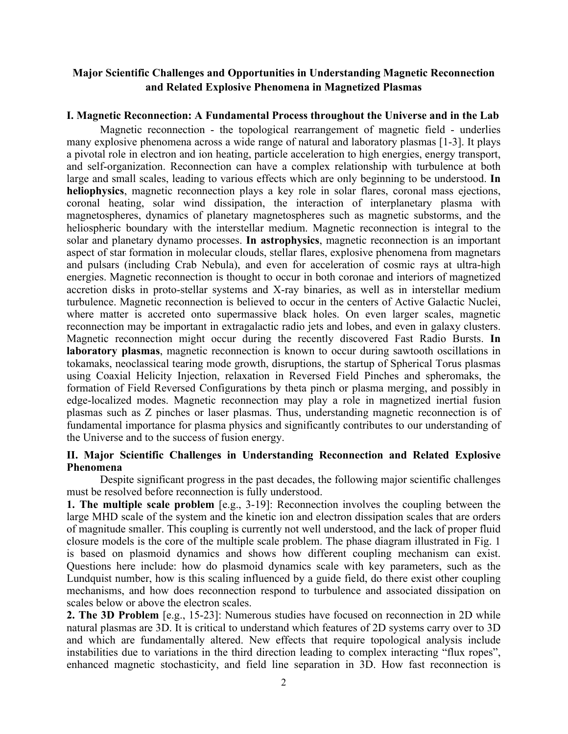# **Major Scientific Challenges and Opportunities in Understanding Magnetic Reconnection and Related Explosive Phenomena in Magnetized Plasmas**

## **I. Magnetic Reconnection: A Fundamental Process throughout the Universe and in the Lab**

Magnetic reconnection - the topological rearrangement of magnetic field - underlies many explosive phenomena across a wide range of natural and laboratory plasmas [1-3]. It plays a pivotal role in electron and ion heating, particle acceleration to high energies, energy transport, and self-organization. Reconnection can have a complex relationship with turbulence at both large and small scales, leading to various effects which are only beginning to be understood. **In heliophysics**, magnetic reconnection plays a key role in solar flares, coronal mass ejections, coronal heating, solar wind dissipation, the interaction of interplanetary plasma with magnetospheres, dynamics of planetary magnetospheres such as magnetic substorms, and the heliospheric boundary with the interstellar medium. Magnetic reconnection is integral to the solar and planetary dynamo processes. **In astrophysics**, magnetic reconnection is an important aspect of star formation in molecular clouds, stellar flares, explosive phenomena from magnetars and pulsars (including Crab Nebula), and even for acceleration of cosmic rays at ultra-high energies. Magnetic reconnection is thought to occur in both coronae and interiors of magnetized accretion disks in proto-stellar systems and X-ray binaries, as well as in interstellar medium turbulence. Magnetic reconnection is believed to occur in the centers of Active Galactic Nuclei, where matter is accreted onto supermassive black holes. On even larger scales, magnetic reconnection may be important in extragalactic radio jets and lobes, and even in galaxy clusters. Magnetic reconnection might occur during the recently discovered Fast Radio Bursts. **In laboratory plasmas**, magnetic reconnection is known to occur during sawtooth oscillations in tokamaks, neoclassical tearing mode growth, disruptions, the startup of Spherical Torus plasmas using Coaxial Helicity Injection, relaxation in Reversed Field Pinches and spheromaks, the formation of Field Reversed Configurations by theta pinch or plasma merging, and possibly in edge-localized modes. Magnetic reconnection may play a role in magnetized inertial fusion plasmas such as Z pinches or laser plasmas. Thus, understanding magnetic reconnection is of fundamental importance for plasma physics and significantly contributes to our understanding of the Universe and to the success of fusion energy.

## **II. Major Scientific Challenges in Understanding Reconnection and Related Explosive Phenomena**

Despite significant progress in the past decades, the following major scientific challenges must be resolved before reconnection is fully understood.

**1. The multiple scale problem** [e.g., 3-19]: Reconnection involves the coupling between the large MHD scale of the system and the kinetic ion and electron dissipation scales that are orders of magnitude smaller. This coupling is currently not well understood, and the lack of proper fluid closure models is the core of the multiple scale problem. The phase diagram illustrated in Fig. 1 is based on plasmoid dynamics and shows how different coupling mechanism can exist. Questions here include: how do plasmoid dynamics scale with key parameters, such as the Lundquist number, how is this scaling influenced by a guide field, do there exist other coupling mechanisms, and how does reconnection respond to turbulence and associated dissipation on scales below or above the electron scales.

**2. The 3D Problem** [e.g., 15-23]: Numerous studies have focused on reconnection in 2D while natural plasmas are 3D. It is critical to understand which features of 2D systems carry over to 3D and which are fundamentally altered. New effects that require topological analysis include instabilities due to variations in the third direction leading to complex interacting "flux ropes", enhanced magnetic stochasticity, and field line separation in 3D. How fast reconnection is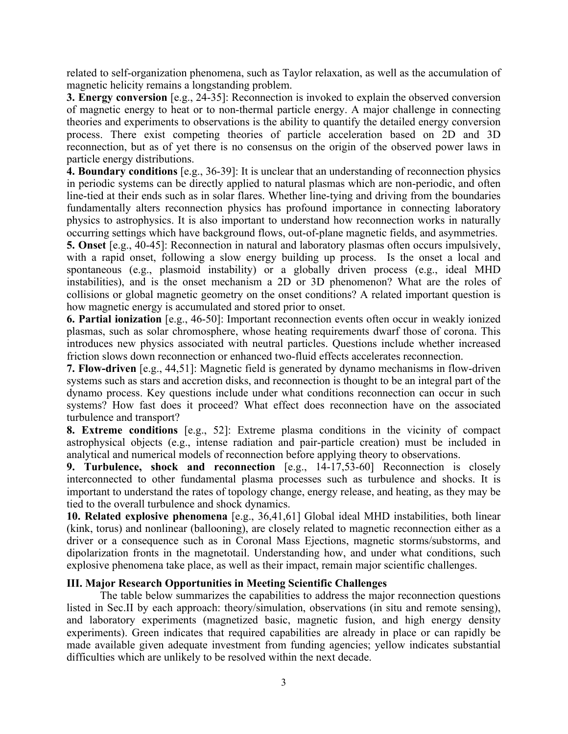related to self-organization phenomena, such as Taylor relaxation, as well as the accumulation of magnetic helicity remains a longstanding problem.

**3. Energy conversion** [e.g., 24-35]: Reconnection is invoked to explain the observed conversion of magnetic energy to heat or to non-thermal particle energy. A major challenge in connecting theories and experiments to observations is the ability to quantify the detailed energy conversion process. There exist competing theories of particle acceleration based on 2D and 3D reconnection, but as of yet there is no consensus on the origin of the observed power laws in particle energy distributions.

**4. Boundary conditions** [e.g., 36-39]: It is unclear that an understanding of reconnection physics in periodic systems can be directly applied to natural plasmas which are non-periodic, and often line-tied at their ends such as in solar flares. Whether line-tying and driving from the boundaries fundamentally alters reconnection physics has profound importance in connecting laboratory physics to astrophysics. It is also important to understand how reconnection works in naturally occurring settings which have background flows, out-of-plane magnetic fields, and asymmetries.

**5. Onset** [e.g., 40-45]: Reconnection in natural and laboratory plasmas often occurs impulsively, with a rapid onset, following a slow energy building up process. Is the onset a local and spontaneous (e.g., plasmoid instability) or a globally driven process (e.g., ideal MHD instabilities), and is the onset mechanism a 2D or 3D phenomenon? What are the roles of collisions or global magnetic geometry on the onset conditions? A related important question is how magnetic energy is accumulated and stored prior to onset.

**6. Partial ionization** [e.g., 46-50]: Important reconnection events often occur in weakly ionized plasmas, such as solar chromosphere, whose heating requirements dwarf those of corona. This introduces new physics associated with neutral particles. Questions include whether increased friction slows down reconnection or enhanced two-fluid effects accelerates reconnection.

**7. Flow-driven** [e.g., 44,51]: Magnetic field is generated by dynamo mechanisms in flow-driven systems such as stars and accretion disks, and reconnection is thought to be an integral part of the dynamo process. Key questions include under what conditions reconnection can occur in such systems? How fast does it proceed? What effect does reconnection have on the associated turbulence and transport?

**8. Extreme conditions** [e.g., 52]: Extreme plasma conditions in the vicinity of compact astrophysical objects (e.g., intense radiation and pair-particle creation) must be included in analytical and numerical models of reconnection before applying theory to observations.

**9. Turbulence, shock and reconnection** [e.g., 14-17,53-60] Reconnection is closely interconnected to other fundamental plasma processes such as turbulence and shocks. It is important to understand the rates of topology change, energy release, and heating, as they may be tied to the overall turbulence and shock dynamics.

**10. Related explosive phenomena** [e.g., 36,41,61] Global ideal MHD instabilities, both linear (kink, torus) and nonlinear (ballooning), are closely related to magnetic reconnection either as a driver or a consequence such as in Coronal Mass Ejections, magnetic storms/substorms, and dipolarization fronts in the magnetotail. Understanding how, and under what conditions, such explosive phenomena take place, as well as their impact, remain major scientific challenges.

# **III. Major Research Opportunities in Meeting Scientific Challenges**

The table below summarizes the capabilities to address the major reconnection questions listed in Sec.II by each approach: theory/simulation, observations (in situ and remote sensing), and laboratory experiments (magnetized basic, magnetic fusion, and high energy density experiments). Green indicates that required capabilities are already in place or can rapidly be made available given adequate investment from funding agencies; yellow indicates substantial difficulties which are unlikely to be resolved within the next decade.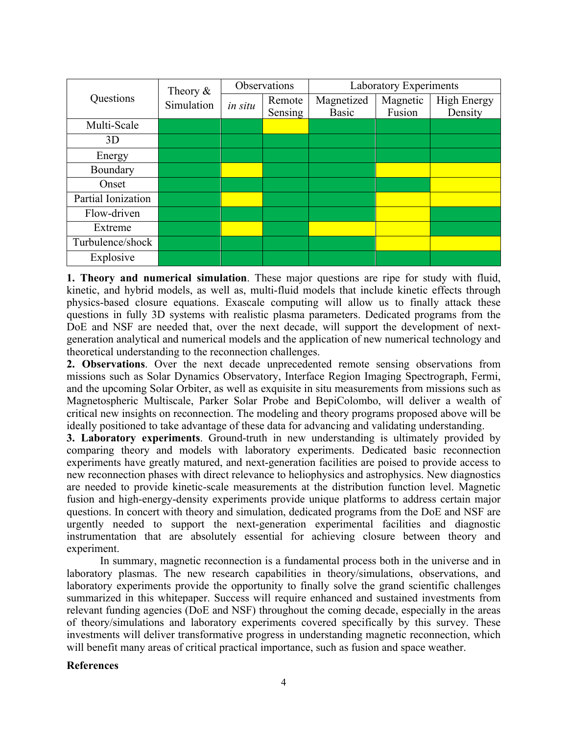| Questions          | Theory $\&$<br>Simulation | Observations |         | Laboratory Experiments |          |                    |
|--------------------|---------------------------|--------------|---------|------------------------|----------|--------------------|
|                    |                           | in situ      | Remote  | Magnetized             | Magnetic | <b>High Energy</b> |
|                    |                           |              | Sensing | Basic                  | Fusion   | Density            |
| Multi-Scale        |                           |              |         |                        |          |                    |
| 3D                 |                           |              |         |                        |          |                    |
| Energy             |                           |              |         |                        |          |                    |
| Boundary           |                           |              |         |                        |          |                    |
| Onset              |                           |              |         |                        |          |                    |
| Partial Ionization |                           |              |         |                        |          |                    |
| Flow-driven        |                           |              |         |                        |          |                    |
| Extreme            |                           |              |         |                        |          |                    |
| Turbulence/shock   |                           |              |         |                        |          |                    |
| Explosive          |                           |              |         |                        |          |                    |

**1. Theory and numerical simulation**. These major questions are ripe for study with fluid, kinetic, and hybrid models, as well as, multi-fluid models that include kinetic effects through physics-based closure equations. Exascale computing will allow us to finally attack these questions in fully 3D systems with realistic plasma parameters. Dedicated programs from the DoE and NSF are needed that, over the next decade, will support the development of nextgeneration analytical and numerical models and the application of new numerical technology and theoretical understanding to the reconnection challenges.

**2. Observations**. Over the next decade unprecedented remote sensing observations from missions such as Solar Dynamics Observatory, Interface Region Imaging Spectrograph, Fermi, and the upcoming Solar Orbiter, as well as exquisite in situ measurements from missions such as Magnetospheric Multiscale, Parker Solar Probe and BepiColombo, will deliver a wealth of critical new insights on reconnection. The modeling and theory programs proposed above will be ideally positioned to take advantage of these data for advancing and validating understanding.

**3. Laboratory experiments**. Ground-truth in new understanding is ultimately provided by comparing theory and models with laboratory experiments. Dedicated basic reconnection experiments have greatly matured, and next-generation facilities are poised to provide access to new reconnection phases with direct relevance to heliophysics and astrophysics. New diagnostics are needed to provide kinetic-scale measurements at the distribution function level. Magnetic fusion and high-energy-density experiments provide unique platforms to address certain major questions. In concert with theory and simulation, dedicated programs from the DoE and NSF are urgently needed to support the next-generation experimental facilities and diagnostic instrumentation that are absolutely essential for achieving closure between theory and experiment.

In summary, magnetic reconnection is a fundamental process both in the universe and in laboratory plasmas. The new research capabilities in theory/simulations, observations, and laboratory experiments provide the opportunity to finally solve the grand scientific challenges summarized in this whitepaper. Success will require enhanced and sustained investments from relevant funding agencies (DoE and NSF) throughout the coming decade, especially in the areas of theory/simulations and laboratory experiments covered specifically by this survey. These investments will deliver transformative progress in understanding magnetic reconnection, which will benefit many areas of critical practical importance, such as fusion and space weather.

# **References**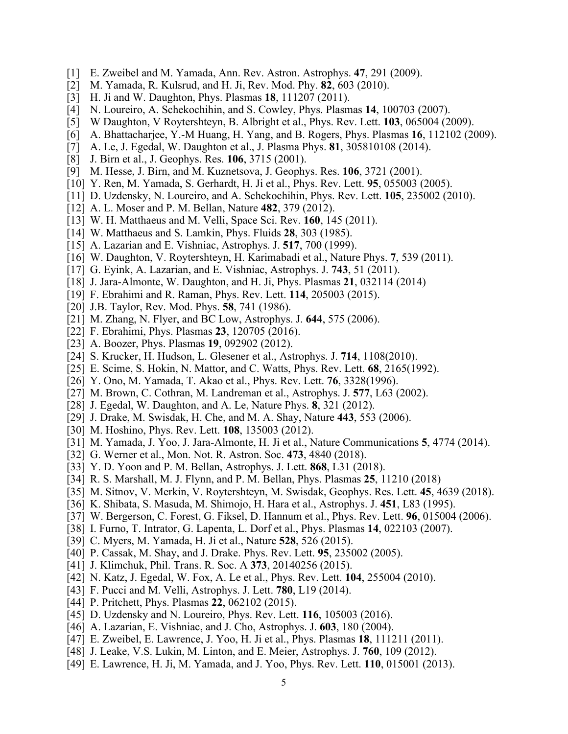- [1] E. Zweibel and M. Yamada, Ann. Rev. Astron. Astrophys. **47**, 291 (2009).
- [2] M. Yamada, R. Kulsrud, and H. Ji, Rev. Mod. Phy. **82**, 603 (2010).
- [3] H. Ji and W. Daughton, Phys. Plasmas **18**, 111207 (2011).
- [4] N. Loureiro, A. Schekochihin, and S. Cowley, Phys. Plasmas **14**, 100703 (2007).
- [5] W Daughton, V Roytershteyn, B. Albright et al., Phys. Rev. Lett. **103**, 065004 (2009).
- [6] A. Bhattacharjee, Y.-M Huang, H. Yang, and B. Rogers, Phys. Plasmas **16**, 112102 (2009).
- [7] A. Le, J. Egedal, W. Daughton et al., J. Plasma Phys. **81**, 305810108 (2014).
- [8] J. Birn et al., J. Geophys. Res. **106**, 3715 (2001).
- [9] M. Hesse, J. Birn, and M. Kuznetsova, J. Geophys. Res. **106**, 3721 (2001).
- [10] Y. Ren, M. Yamada, S. Gerhardt, H. Ji et al., Phys. Rev. Lett. **95**, 055003 (2005).
- [11] D. Uzdensky, N. Loureiro, and A. Schekochihin, Phys. Rev. Lett. **105**, 235002 (2010).
- [12] A. L. Moser and P. M. Bellan, Nature **482**, 379 (2012).
- [13] W. H. Matthaeus and M. Velli, Space Sci. Rev. **160**, 145 (2011).
- [14] W. Matthaeus and S. Lamkin, Phys. Fluids **28**, 303 (1985).
- [15] A. Lazarian and E. Vishniac, Astrophys. J. **517**, 700 (1999).
- [16] W. Daughton, V. Roytershteyn, H. Karimabadi et al., Nature Phys. **7**, 539 (2011).
- [17] G. Eyink, A. Lazarian, and E. Vishniac, Astrophys. J. **743**, 51 (2011).
- [18] J. Jara-Almonte, W. Daughton, and H. Ji, Phys. Plasmas **21**, 032114 (2014)
- [19] F. Ebrahimi and R. Raman, Phys. Rev. Lett. **114**, 205003 (2015).
- [20] J.B. Taylor, Rev. Mod. Phys. **58**, 741 (1986).
- [21] M. Zhang, N. Flyer, and BC Low, Astrophys. J. **644**, 575 (2006).
- [22] F. Ebrahimi, Phys. Plasmas **23**, 120705 (2016).
- [23] A. Boozer, Phys. Plasmas **19**, 092902 (2012).
- [24] S. Krucker, H. Hudson, L. Glesener et al., Astrophys. J. **714**, 1108(2010).
- [25] E. Scime, S. Hokin, N. Mattor, and C. Watts, Phys. Rev. Lett. **68**, 2165(1992).
- [26] Y. Ono, M. Yamada, T. Akao et al., Phys. Rev. Lett. **76**, 3328(1996).
- [27] M. Brown, C. Cothran, M. Landreman et al., Astrophys. J. **577**, L63 (2002).
- [28] J. Egedal, W. Daughton, and A. Le, Nature Phys. **8**, 321 (2012).
- [29] J. Drake, M. Swisdak, H. Che, and M. A. Shay, Nature **443**, 553 (2006).
- [30] M. Hoshino, Phys. Rev. Lett. **108**, 135003 (2012).
- [31] M. Yamada, J. Yoo, J. Jara-Almonte, H. Ji et al., Nature Communications **5**, 4774 (2014).
- [32] G. Werner et al., Mon. Not. R. Astron. Soc. **473**, 4840 (2018).
- [33] Y. D. Yoon and P. M. Bellan, Astrophys. J. Lett. **868**, L31 (2018).
- [34] R. S. Marshall, M. J. Flynn, and P. M. Bellan, Phys. Plasmas **25**, 11210 (2018)
- [35] M. Sitnov, V. Merkin, V. Roytershteyn, M. Swisdak, Geophys. Res. Lett. **45**, 4639 (2018).
- [36] K. Shibata, S. Masuda, M. Shimojo, H. Hara et al., Astrophys. J. **451**, L83 (1995).
- [37] W. Bergerson, C. Forest, G. Fiksel, D. Hannum et al., Phys. Rev. Lett. **96**, 015004 (2006).
- [38] I. Furno, T. Intrator, G. Lapenta, L. Dorf et al., Phys. Plasmas **14**, 022103 (2007).
- [39] C. Myers, M. Yamada, H. Ji et al., Nature **528**, 526 (2015).
- [40] P. Cassak, M. Shay, and J. Drake. Phys. Rev. Lett. **95**, 235002 (2005).
- [41] J. Klimchuk, Phil. Trans. R. Soc. A **373**, 20140256 (2015).
- [42] N. Katz, J. Egedal, W. Fox, A. Le et al., Phys. Rev. Lett. **104**, 255004 (2010).
- [43] F. Pucci and M. Velli, Astrophys. J. Lett. **780**, L19 (2014).
- [44] P. Pritchett, Phys. Plasmas **22**, 062102 (2015).
- [45] D. Uzdensky and N. Loureiro, Phys. Rev. Lett. **116**, 105003 (2016).
- [46] A. Lazarian, E. Vishniac, and J. Cho, Astrophys. J. **603**, 180 (2004).
- [47] E. Zweibel, E. Lawrence, J. Yoo, H. Ji et al., Phys. Plasmas **18**, 111211 (2011).
- [48] J. Leake, V.S. Lukin, M. Linton, and E. Meier, Astrophys. J. **760**, 109 (2012).
- [49] E. Lawrence, H. Ji, M. Yamada, and J. Yoo, Phys. Rev. Lett. **110**, 015001 (2013).